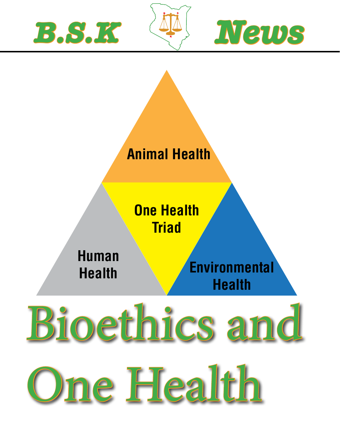





# Bioethics and One Health **Animal Health One Health Triad Environmental Health Human Health**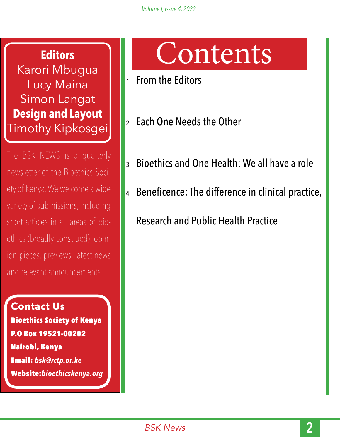**Editors** Karori Mbugua Lucy Maina Simon Langat **Design and Layout** Timothy Kipkosgei

The BSK NEWS is a quarterly newsletter of the Bioethics Society of Kenya. We welcome a wide variety of submissions, including short articles in all areas of bioethics (broadly construed), opinion pieces, previews, latest news and relevant announcements.

**Contact Us** Bioethics Society of Kenya P.O Box 19521-00202 Nairobi, Kenya Email: *bsk@rctp.or.ke* Website:*bioethicskenya.org*

## Contents

- 1. From the Editors
- 2. Each One Needs the Other
- 3. Bioethics and One Health: We all have a role
- 4. Beneficence: The difference in clinical practice,

Research and Public Health Practice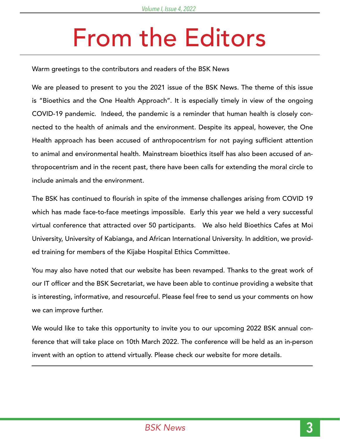## From the Editors

Warm greetings to the contributors and readers of the BSK News

We are pleased to present to you the 2021 issue of the BSK News. The theme of this issue is "Bioethics and the One Health Approach''. It is especially timely in view of the ongoing COVID-19 pandemic. Indeed, the pandemic is a reminder that human health is closely connected to the health of animals and the environment. Despite its appeal, however, the One Health approach has been accused of anthropocentrism for not paying sufficient attention to animal and environmental health. Mainstream bioethics itself has also been accused of anthropocentrism and in the recent past, there have been calls for extending the moral circle to include animals and the environment.

The BSK has continued to flourish in spite of the immense challenges arising from COVID 19 which has made face-to-face meetings impossible. Early this year we held a very successful virtual conference that attracted over 50 participants. We also held Bioethics Cafes at Moi University, University of Kabianga, and African International University. In addition, we provided training for members of the Kijabe Hospital Ethics Committee.

You may also have noted that our website has been revamped. Thanks to the great work of our IT officer and the BSK Secretariat, we have been able to continue providing a website that is interesting, informative, and resourceful. Please feel free to send us your comments on how we can improve further.

We would like to take this opportunity to invite you to our upcoming 2022 BSK annual conference that will take place on 10th March 2022. The conference will be held as an in-person invent with an option to attend virtually. Please check our website for more details.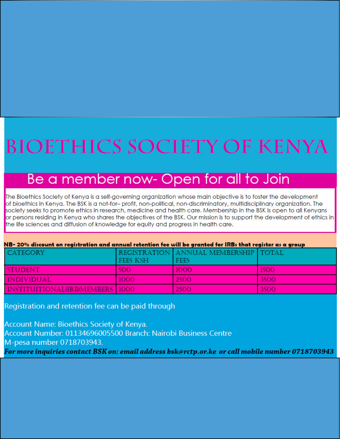## **BIOETHICS SOCIETY OF KENYA**

## Be a member now- Open for all to Join

The Bioethics Society of Kenya is a self-governing organization whose main objective is to foster the development of bioethics in Kenya. The BSK is a not-for-profit, non-political, non-discriminatory, multidisciplinary organization. The society seeks to promote ethics in research, medicine and health care. Membership in the BSK is open to all Kenyans or persons residing in Kenya who shares the objectives of the BSK. Our mission is to support the development of ethics in the life sciences and diffusion of knowledge for equity and progress in health care.

| NB- 20% discount on registration and annual retention fee will be granted for IRBs that register as a group |                 |                                                       |             |
|-------------------------------------------------------------------------------------------------------------|-----------------|-------------------------------------------------------|-------------|
| <b>CATEGORY</b>                                                                                             | <b>FEES KSH</b> | REGISTRATION ANNUAL MEMBERSHIP   TOTAL<br><b>FEES</b> |             |
| <b>STUDENT</b>                                                                                              | 500             | 1000                                                  | <b>1500</b> |
| <b>INDIVIDUAL</b>                                                                                           | 1000            | 2500                                                  | 3500        |
| INSTITUITIONAL(IRB)MEMBERS 1000                                                                             |                 | 2500                                                  | 3500        |

Registration and retention fee can be paid through

Account Name: Bioethics Society of Kenya. Account Number: 01134696005500 Branch: Nairobi Business Centre M-pesa number 0718703943. For more inquiries contact BSK on: email address bsk@rctp.or.ke\_or call mobile number 0718703943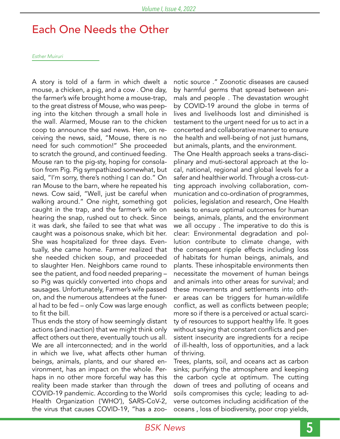### Each One Needs the Other

*Esther Muiruri*

A story is told of a farm in which dwelt a mouse, a chicken, a pig, and a cow . One day, the farmer's wife brought home a mouse-trap, to the great distress of Mouse, who was peeping into the kitchen through a small hole in the wall. Alarmed, Mouse ran to the chicken coop to announce the sad news. Hen, on receiving the news, said, "Mouse, there is no need for such commotion!" She proceeded to scratch the ground, and continued feeding. Mouse ran to the pig-sty, hoping for consolation from Pig. Pig sympathized somewhat, but said, "I'm sorry, there's nothing I can do." On ran Mouse to the barn, where he repeated his news. Cow said, "Well, just be careful when walking around." One night, something got caught in the trap, and the farmer's wife on hearing the snap, rushed out to check. Since it was dark, she failed to see that what was caught was a poisonous snake, which bit her. She was hospitalized for three days. Eventually, she came home. Farmer realized that she needed chicken soup, and proceeded to slaughter Hen. Neighbors came round to see the patient, and food needed preparing – so Pig was quickly converted into chops and sausages. Unfortunately, Farmer's wife passed on, and the numerous attendees at the funeral had to be fed – only Cow was large enough to fit the bill.

Thus ends the story of how seemingly distant actions (and inaction) that we might think only affect others out there, eventually touch us all. We are all interconnected; and in the world in which we live, what affects other human beings, animals, plants, and our shared environment, has an impact on the whole. Perhaps in no other more forceful way has this reality been made starker than through the COVID-19 pandemic. According to the World Health Organization ('WHO'), SARS-CoV-2, the virus that causes COVID-19, "has a zoonotic source ." Zoonotic diseases are caused by harmful germs that spread between animals and people . The devastation wrought by COVID-19 around the globe in terms of lives and livelihoods lost and diminished is testament to the urgent need for us to act in a concerted and collaborative manner to ensure the health and well-being of not just humans, but animals, plants, and the environment. The One Health approach seeks a trans-disciplinary and muti-sectoral approach at the local, national, regional and global levels for a safer and healthier world. Through a cross-cutting approach involving collaboration, communication and co-ordination of programmes, policies, legislation and research, One Health seeks to ensure optimal outcomes for human beings, animals, plants, and the environment we all occupy . The imperative to do this is clear: Environmental degradation and pollution contribute to climate change, with the consequent ripple effects including loss of habitats for human beings, animals, and plants. These inhospitable environments then necessitate the movement of human beings and animals into other areas for survival; and these movements and settlements into other areas can be triggers for human-wildlife conflict, as well as conflicts between people; more so if there is a perceived or actual scarcity of resources to support healthy life. It goes without saying that constant conflicts and persistent insecurity are ingredients for a recipe of ill-health, loss of opportunities, and a lack of thriving.

Trees, plants, soil, and oceans act as carbon sinks; purifying the atmosphere and keeping the carbon cycle at optimum. The cutting down of trees and polluting of oceans and soils compromises this cycle; leading to adverse outcomes including acidification of the oceans , loss of biodiversity, poor crop yields,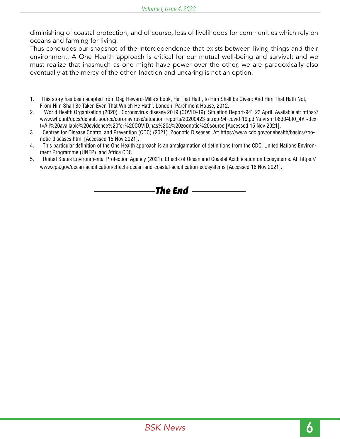diminishing of coastal protection, and of course, loss of livelihoods for communities which rely on oceans and farming for living.

Thus concludes our snapshot of the interdependence that exists between living things and their environment. A One Health approach is critical for our mutual well-being and survival; and we must realize that inasmuch as one might have power over the other, we are paradoxically also eventually at the mercy of the other. Inaction and uncaring is not an option.

- 1. This story has been adapted from Dag Heward-Mills's book, He That Hath, to Him Shall be Given: And Him That Hath Not, From Him Shall Be Taken Even That Which He Hath'. London: Parchment House, 2012.
- 2. World Health Organization (2020). 'Coronavirus disease 2019 (COVID-19): Situation Report-94'. 23 April. Available at: https:// www.who.int/docs/default-source/coronaviruse/situation-reports/20200423-sitrep-94-covid-19.pdf?sfvrsn=b8304bf0\_4#:~:text=All%20available%20evidence%20for%20COVID,has%20a%20zoonotic%20source [Accessed 15 Nov 2021].
- 3. Centres for Disease Control and Prevention (CDC) (2021). Zoonotic Diseases. At: https://www.cdc.gov/onehealth/basics/zoonotic-diseases.html [Accessed 15 Nov 2021].
- 4. This particular definition of the One Health approach is an amalgamation of definitions from the CDC, United Nations Environment Programme (UNEP), and Africa CDC.
- 5. United States Environmental Protection Agency (2021). Effects of Ocean and Coastal Acidification on Ecosystems. At: https:// www.epa.gov/ocean-acidification/effects-ocean-and-coastal-acidification-ecosystems [Accessed 16 Nov 2021].

*The End*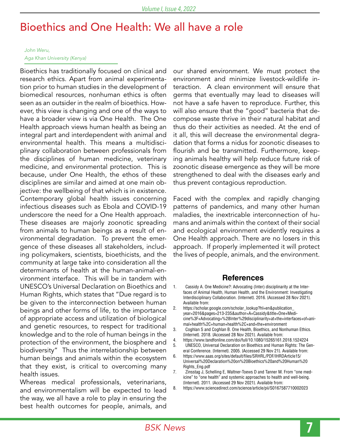### Bioethics and One Health: We all have a role

#### *John Weru, Aga Khan University (Kenya)*

Bioethics has traditionally focused on clinical and research ethics. Apart from animal experimentation prior to human studies in the development of biomedical resources, nonhuman ethics is often seen as an outsider in the realm of bioethics. However, this view is changing and one of the ways to have a broader view is via One Health. The One Health approach views human health as being an integral part and interdependent with animal and environmental health. This means a multidisciplinary collaboration between professionals from the disciplines of human medicine, veterinary medicine, and environmental protection. This is because, under One Health, the ethos of these disciplines are similar and aimed at one main objective: the wellbeing of that which is in existence. Contemporary global health issues concerning infectious diseases such as Ebola and COVID-19 underscore the need for a One Health approach. These diseases are majorly zoonotic spreading from animals to human beings as a result of environmental degradation. To prevent the emergence of these diseases all stakeholders, including policymakers, scientists, bioethicists, and the community at large take into consideration all the determinants of health at the human-animal-environment interface. This will be in tandem with UNESCO's Universal Declaration on Bioethics and Human Rights, which states that "Due regard is to be given to the interconnection between human beings and other forms of life, to the importance of appropriate access and utilization of biological and genetic resources, to respect for traditional knowledge and to the role of human beings in the protection of the environment, the biosphere and biodiversity" Thus the interrelationship between human beings and animals within the ecosystem that they exist, is critical to overcoming many health issues.

Whereas medical professionals, veterinarians, and environmentalism will be expected to lead the way, we all have a role to play in ensuring the best health outcomes for people, animals, and our shared environment. We must protect the environment and minimize livestock-wildlife interaction. A clean environment will ensure that germs that eventually may lead to diseases will not have a safe haven to reproduce. Further, this will also ensure that the "good" bacteria that decompose waste thrive in their natural habitat and thus do their activities as needed. At the end of it all, this will decrease the environmental degradation that forms a nidus for zoonotic diseases to flourish and be transmitted. Furthermore, keeping animals healthy will help reduce future risk of zoonotic disease emergence as they will be more strengthened to deal with the diseases early and thus prevent contagious reproduction.

Faced with the complex and rapidly changing patterns of pandemics, and many other human maladies, the inextricable interconnection of humans and animals within the context of their social and ecological environment evidently requires a One Health approach. There are no losers in this approach. If properly implemented it will protect the lives of people, animals, and the environment.

#### **References**

- 1. Cassidy A. One Medicine?: Advocating (Inter) disciplinarity at the Interfaces of Animal Health, Human Health, and the Environment: Investigating Interdisciplinary Collaboration. {Internet}. 2016. {Accessed 28 Nov 2021}. Available from:
- 2. https://scholar.google.com/scholar\_lookup?hl=en&publication\_ year=2016&pages=213-235&author=A+Cassidy&title=One+Medicine%3F+Advocating+%28Inter%29disciplinarity+at+the+interfaces+of+animal+health%2C+human+health%2C+and+the+environment
- 3. Coghlan S and Coghlan B. One Health, Bioethics, and Nonhuman Ethics. {Internet}. 2018. {Accessed 28 Nov 2021}. Available from:
- 4. https://www.tandfonline.com/doi/full/10.1080/15265161.2018.1524224
- 5. UNESCO, Universal Declaration on Bioethics and Human Rights: The General Conference. {Internet}. 2005. {Accessed 29 Nov 21}. Available from:
- 6. https://www.aaas.org/sites/default/files/SRHRL/PDF/IHRDArticle15/ Universal%20Declaration%20on%20Bioethics%20and%20Human%20 Rights\_Eng.pdf
- 7. Zinsstag J, Schelling E, Waltner-Toews D and Tanner M. From "one medicine" to "one health" and systemic approaches to health and well-being. {Internet}. 2011. {Accessed 29 Nov 2021}. Available from:
- 8. https://www.sciencedirect.com/science/article/pii/S0167587710002023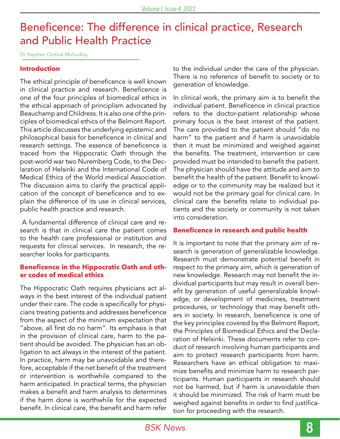### Beneficence: The difference in clinical practice, Research and Public Health Practice

*Dr Stephen Ombok Muhudhia,*

#### **Introduction**

The ethical principle of beneficence is well known in clinical practice and research. Beneficence is one of the four principles of biomedical ethics in the ethical approach of principlism advocated by Beauchamp and Childress. It is also one of the principles of biomedical ethics of the Belmont Report. This article discusses the underlying epistemic and philosophical basis for beneficence in clinical and research settings. The essence of beneficence is traced from the Hippocratic Oath through the post-world war two Nuremberg Code, to the Declaration of Helsinki and the International Code of Medical Ethics of the World medical Association. The discussion aims to clarify the practical application of the concept of beneficence and to explain the difference of its use in clinical services, public health practice and research.

 A fundamental difference of clinical care and research is that in clinical care the patient comes to the health care professional or institution and requests for clinical services. In research, the researcher looks for participants.

#### **Beneficence in the Hippocratic Oath and other codes of medical ethics**

The Hippocratic Oath requires physicians act always in the best interest of the individual patient under their care. The code is specifically for physicians treating patients and addresses beneficence from the aspect of the minimum expectation that "above, all first do no harm". Its emphasis is that in the provision of clinical care, harm to the patient should be avoided. The physician has an obligation to act always in the interest of the patient. In practice, harm may be unavoidable and therefore, acceptable if the net benefit of the treatment or intervention is worthwhile compared to the harm anticipated. In practical terms, the physician makes a benefit and harm analysis to determines if the harm done is worthwhile for the expected benefit. In clinical care, the benefit and harm refer

to the individual under the care of the physician. There is no reference of benefit to society or to generation of knowledge.

In clinical work, the primary aim is to benefit the individual patient. Beneficence in clinical practice refers to the doctor-patient relationship whose primary focus is the best interest of the patient. The care provided to the patient should "do no harm" to the patient and if harm is unavoidable then it must be minimized and weighed against the benefits. The treatment, intervention or care provided must be intended to benefit the patient. The physician should have the attitude and aim to benefit the health of the patient. Benefit to knowledge or to the community may be realized but it would not be the primary goal for clinical care. In clinical care the benefits relate to individual patients and the society or community is not taken into consideration.

#### **Beneficence in research and public health**

It is important to note that the primary aim of research is generation of generalizable knowledge. Research must demonstrate potential benefit in respect to the primary aim, which is generation of new knowledge. Research may not benefit the individual participants but may result in overall benefit by generation of useful generalizable knowledge, or development of medicines, treatment procedures, or technology that may benefit others in society. In research, beneficence is one of the key principles covered by the Belmont Report, the Principles of Biomedical Ethics and the Declaration of Helsinki. These documents refer to conduct of research involving human participants and aim to protect research participants from harm. Researchers have an ethical obligation to maximize benefits and minimize harm to research participants. Human participants in research should not be harmed, but if harm is unavoidable then it should be minimized. The risk of harm must be weighed against benefits in order to find justification for proceeding with the research.